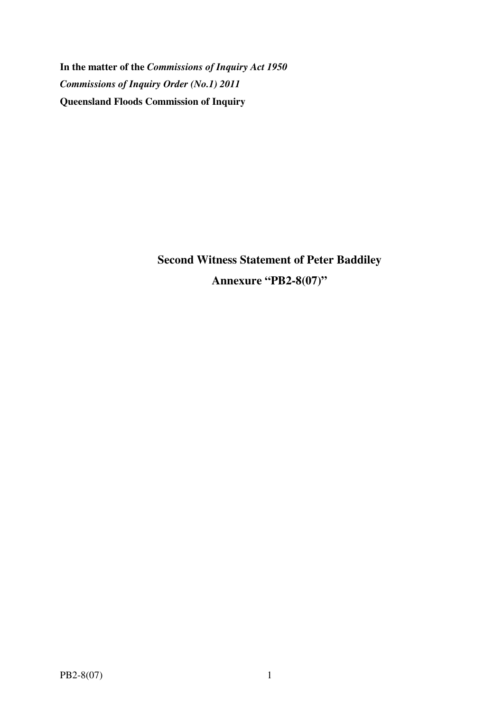**In the matter of the** *Commissions of Inquiry Act 1950 Commissions of Inquiry Order (No.1) 2011* **Queensland Floods Commission of Inquiry** 

> **Second Witness Statement of Peter Baddiley Annexure "PB2-8(07)"**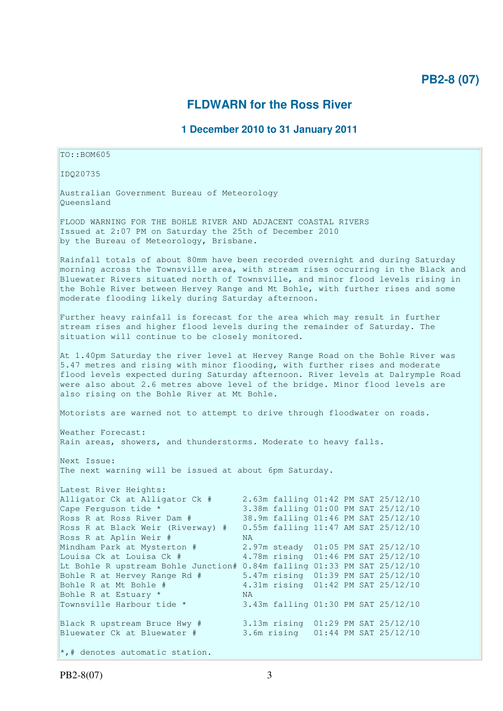## **PB2-8 (07)**

## **FLDWARN for the Ross River**

## **1 December 2010 to 31 January 2011**

TO::BOM605 IDQ20735 Australian Government Bureau of Meteorology Queensland FLOOD WARNING FOR THE BOHLE RIVER AND ADJACENT COASTAL RIVERS Issued at 2:07 PM on Saturday the 25th of December 2010 by the Bureau of Meteorology, Brisbane. Rainfall totals of about 80mm have been recorded overnight and during Saturday morning across the Townsville area, with stream rises occurring in the Black and Bluewater Rivers situated north of Townsville, and minor flood levels rising in the Bohle River between Hervey Range and Mt Bohle, with further rises and some moderate flooding likely during Saturday afternoon. Further heavy rainfall is forecast for the area which may result in further stream rises and higher flood levels during the remainder of Saturday. The situation will continue to be closely monitored. At 1.40pm Saturday the river level at Hervey Range Road on the Bohle River was 5.47 metres and rising with minor flooding, with further rises and moderate flood levels expected during Saturday afternoon. River levels at Dalrymple Road were also about 2.6 metres above level of the bridge. Minor flood levels are also rising on the Bohle River at Mt Bohle. Motorists are warned not to attempt to drive through floodwater on roads. Weather Forecast: Rain areas, showers, and thunderstorms. Moderate to heavy falls. Next Issue: The next warning will be issued at about 6pm Saturday. Latest River Heights: Alligator Ck at Alligator Ck # 2.63m falling 01:42 PM SAT 25/12/10 Cape Ferguson tide \* 3.38m falling 01:00 PM SAT 25/12/10 Ross R at Ross River Dam # 38.9m falling 01:46 PM SAT 25/12/10 Ross R at Black Weir (Riverway) # 0.55m falling 11:47 AM SAT 25/12/10 Ross R at Aplin Weir # NA Mindham Park at Mysterton # 2.97m steady 01:05 PM SAT 25/12/10 Louisa Ck at Louisa Ck # 4.78m rising 01:46 PM SAT 25/12/10 Lt Bohle R upstream Bohle Junction# 0.84m falling 01:33 PM SAT 25/12/10 Bohle R at Hervey Range Rd # 5.47m rising 01:39 PM SAT 25/12/10 Bohle R at Mt Bohle # 4.31m rising 01:42 PM SAT 25/12/10 Bohle R at Estuary \* NA Townsville Harbour tide \* 3.43m falling 01:30 PM SAT 25/12/10 Black R upstream Bruce Hwy # 3.13m rising 01:29 PM SAT 25/12/10 Bluewater Ck at Bluewater # 3.6m rising 01:44 PM SAT 25/12/10  $\star$ ,# denotes automatic station.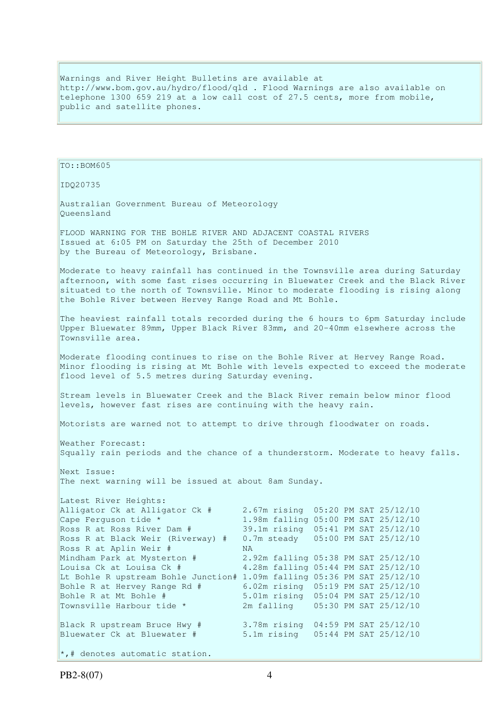Warnings and River Height Bulletins are available at http://www.bom.gov.au/hydro/flood/qld . Flood Warnings are also available on telephone 1300 659 219 at a low call cost of 27.5 cents, more from mobile, public and satellite phones.

TO::BOM605 IDQ20735 Australian Government Bureau of Meteorology Queensland FLOOD WARNING FOR THE BOHLE RIVER AND ADJACENT COASTAL RIVERS Issued at 6:05 PM on Saturday the 25th of December 2010 by the Bureau of Meteorology, Brisbane. Moderate to heavy rainfall has continued in the Townsville area during Saturday afternoon, with some fast rises occurring in Bluewater Creek and the Black River situated to the north of Townsville. Minor to moderate flooding is rising along the Bohle River between Hervey Range Road and Mt Bohle. The heaviest rainfall totals recorded during the 6 hours to 6pm Saturday include Upper Bluewater 89mm, Upper Black River 83mm, and 20-40mm elsewhere across the Townsville area. Moderate flooding continues to rise on the Bohle River at Hervey Range Road. Minor flooding is rising at Mt Bohle with levels expected to exceed the moderate flood level of 5.5 metres during Saturday evening. Stream levels in Bluewater Creek and the Black River remain below minor flood levels, however fast rises are continuing with the heavy rain. Motorists are warned not to attempt to drive through floodwater on roads. Weather Forecast: Squally rain periods and the chance of a thunderstorm. Moderate to heavy falls. Next Issue: The next warning will be issued at about 8am Sunday. Latest River Heights: Alligator Ck at Alligator Ck # 2.67m rising 05:20 PM SAT 25/12/10 Cape Ferguson tide \* 1.98m falling 05:00 PM SAT 25/12/10<br>
Ross R at Ross River Dam # 39.1m rising 05:41 PM SAT 25/12/10 39.1m rising 05:41 PM SAT 25/12/10 Ross R at Black Weir (Riverway) # 0.7m steady 05:00 PM SAT 25/12/10 Ross R at Aplin Weir # NA Mindham Park at Mysterton  $\#$  2.92m falling 05:38 PM SAT 25/12/10<br>Louisa Ck at Louisa Ck  $\#$  4.28m falling 05:44 PM SAT 25/12/10 4.28m falling 05:44 PM SAT 25/12/10 Lt Bohle R upstream Bohle Junction# 1.09m falling 05:36 PM SAT 25/12/10 Bohle R at Hervey Range Rd # 6.02m rising 05:19 PM SAT 25/12/10<br>Bohle R at Mt Bohle # 5.01m rising 05:04 PM SAT 25/12/10 Bohle R at Mt Bohle # 5.01m rising 05:04 PM SAT 25/12/10 Townsville Harbour tide \* 2m falling 05:30 PM SAT 25/12/10 Black R upstream Bruce Hwy # 3.78m rising 04:59 PM SAT 25/12/10 Bluewater Ck at Bluewater # 5.1m rising 05:44 PM SAT 25/12/10  $\star$ ,# denotes automatic station.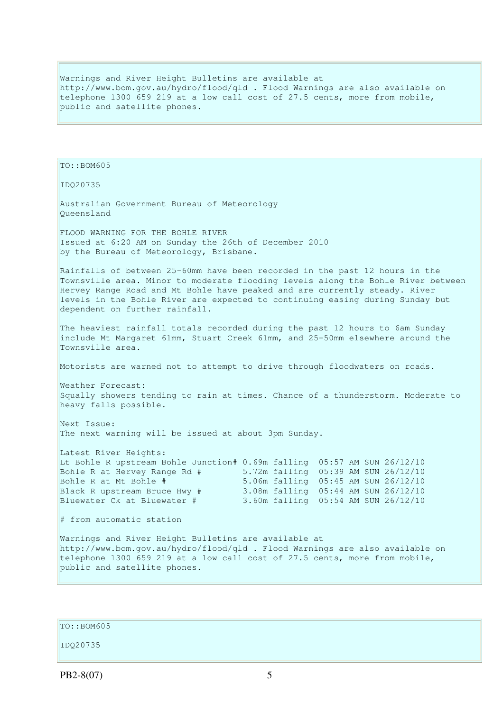Warnings and River Height Bulletins are available at http://www.bom.gov.au/hydro/flood/qld . Flood Warnings are also available on telephone 1300 659 219 at a low call cost of 27.5 cents, more from mobile, public and satellite phones.

TO::BOM605 IDQ20735 Australian Government Bureau of Meteorology Queensland FLOOD WARNING FOR THE BOHLE RIVER Issued at 6:20 AM on Sunday the 26th of December 2010 by the Bureau of Meteorology, Brisbane. Rainfalls of between 25-60mm have been recorded in the past 12 hours in the Townsville area. Minor to moderate flooding levels along the Bohle River between Hervey Range Road and Mt Bohle have peaked and are currently steady. River levels in the Bohle River are expected to continuing easing during Sunday but dependent on further rainfall. The heaviest rainfall totals recorded during the past 12 hours to 6am Sunday include Mt Margaret 61mm, Stuart Creek 61mm, and 25-50mm elsewhere around the Townsville area. Motorists are warned not to attempt to drive through floodwaters on roads. Weather Forecast: Squally showers tending to rain at times. Chance of a thunderstorm. Moderate to heavy falls possible. Next Issue: The next warning will be issued at about 3pm Sunday. Latest River Heights: Lt Bohle R upstream Bohle Junction# 0.69m falling 05:57 AM SUN 26/12/10 Bohle R at Hervey Range Rd # 5.72m falling 05:39 AM SUN 26/12/10 Bohle R at Mt Bohle # 5.06m falling 05:45 AM SUN 26/12/10 Black R upstream Bruce Hwy # 3.08m falling 05:44 AM SUN 26/12/10 Bluewater Ck at Bluewater # 3.60m falling 05:54 AM SUN 26/12/10 # from automatic station Warnings and River Height Bulletins are available at http://www.bom.gov.au/hydro/flood/qld . Flood Warnings are also available on telephone 1300 659 219 at a low call cost of 27.5 cents, more from mobile, public and satellite phones.

TO::BOM605

IDQ20735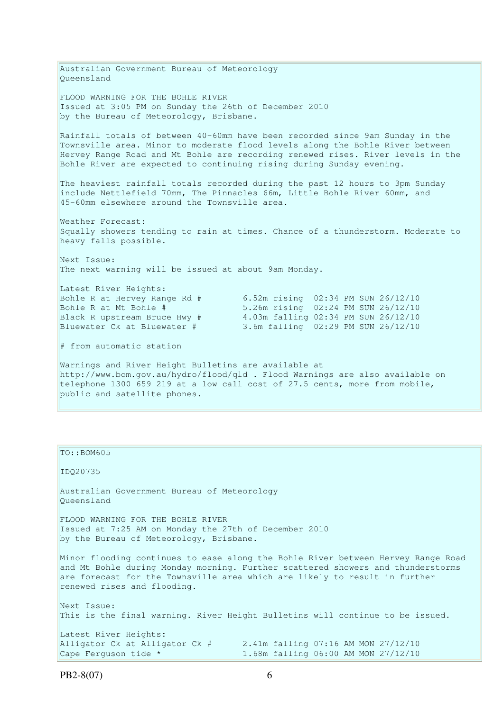Australian Government Bureau of Meteorology Queensland FLOOD WARNING FOR THE BOHLE RIVER Issued at 3:05 PM on Sunday the 26th of December 2010 by the Bureau of Meteorology, Brisbane. Rainfall totals of between 40-60mm have been recorded since 9am Sunday in the Townsville area. Minor to moderate flood levels along the Bohle River between Hervey Range Road and Mt Bohle are recording renewed rises. River levels in the Bohle River are expected to continuing rising during Sunday evening. The heaviest rainfall totals recorded during the past 12 hours to 3pm Sunday include Nettlefield 70mm, The Pinnacles 66m, Little Bohle River 60mm, and 45-60mm elsewhere around the Townsville area. Weather Forecast: Squally showers tending to rain at times. Chance of a thunderstorm. Moderate to heavy falls possible. Next Issue: The next warning will be issued at about 9am Monday. Latest River Heights: Bohle R at Hervey Range Rd # 6.52m rising 02:34 PM SUN 26/12/10 Bohle R at Mt Bohle # 5.26m rising 02:24 PM SUN 26/12/10 Black R upstream Bruce Hwy # 4.03m falling 02:34 PM SUN 26/12/10 Bluewater Ck at Bluewater # 3.6m falling 02:29 PM SUN 26/12/10 # from automatic station Warnings and River Height Bulletins are available at http://www.bom.gov.au/hydro/flood/qld . Flood Warnings are also available on telephone 1300 659 219 at a low call cost of 27.5 cents, more from mobile,

public and satellite phones.

| TO::BOM605                                                                                                                                                                                                                                                                       |  |
|----------------------------------------------------------------------------------------------------------------------------------------------------------------------------------------------------------------------------------------------------------------------------------|--|
| ID020735                                                                                                                                                                                                                                                                         |  |
| Australian Government Bureau of Meteorology<br>Oueensland                                                                                                                                                                                                                        |  |
| FLOOD WARNING FOR THE BOHLE RIVER                                                                                                                                                                                                                                                |  |
| Issued at 7:25 AM on Monday the 27th of December 2010                                                                                                                                                                                                                            |  |
| by the Bureau of Meteorology, Brisbane.                                                                                                                                                                                                                                          |  |
| Minor flooding continues to ease along the Bohle River between Hervey Range Road<br>and Mt Bohle during Monday morning. Further scattered showers and thunderstorms<br>are forecast for the Townsville area which are likely to result in further<br>renewed rises and flooding. |  |
| Next Issue:                                                                                                                                                                                                                                                                      |  |
| This is the final warning. River Height Bulletins will continue to be issued.                                                                                                                                                                                                    |  |
| Latest River Heights:                                                                                                                                                                                                                                                            |  |
| 2.41m falling 07:16 AM MON 27/12/10<br>Alligator Ck at Alligator Ck #                                                                                                                                                                                                            |  |
| 1.68m falling 06:00 AM MON 27/12/10<br>Cape Ferguson tide *                                                                                                                                                                                                                      |  |